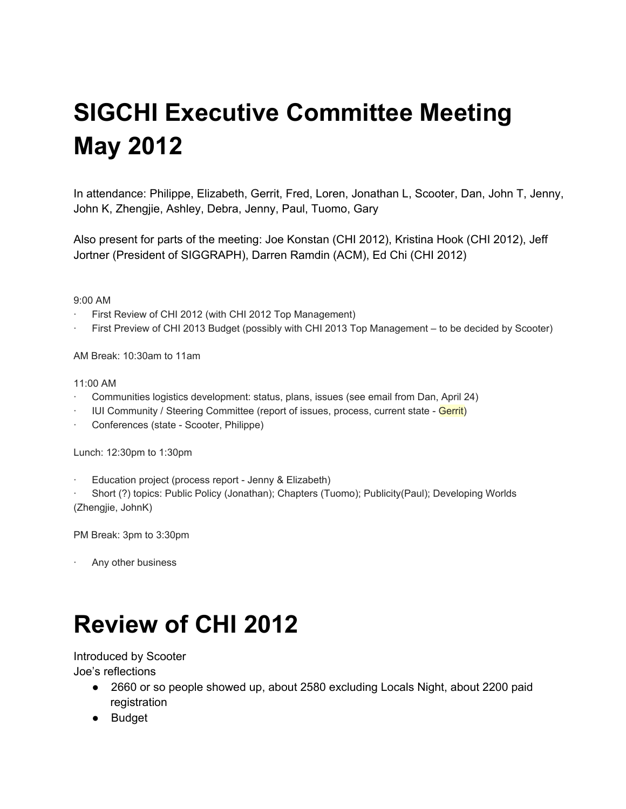# **SIGCHI Executive Committee Meeting May 2012**

In attendance: Philippe, Elizabeth, Gerrit, Fred, Loren, Jonathan L, Scooter, Dan, John T, Jenny, John K, Zhengjie, Ashley, Debra, Jenny, Paul, Tuomo, Gary

Also present for parts of the meeting: Joe Konstan (CHI 2012), Kristina Hook (CHI 2012), Jeff Jortner (President of SIGGRAPH), Darren Ramdin (ACM), Ed Chi (CHI 2012)

9:00 AM

- ∙ First Review of CHI 2012 (with CHI 2012 Top Management)
- ∙ First Preview of CHI 2013 Budget (possibly with CHI 2013 Top Management to be decided by Scooter)

AM Break: 10:30am to 11am

#### 11:00 AM

- ∙ Communities logistics development: status, plans, issues (see email from Dan, April 24)
- IUI Community / Steering Committee (report of issues, process, current state Gerrit)
- Conferences (state Scooter, Philippe)

Lunch: 12:30pm to 1:30pm

Education project (process report - Jenny & Elizabeth)

∙ Short (?) topics: Public Policy (Jonathan); Chapters (Tuomo); Publicity(Paul); Developing Worlds (Zhengjie, JohnK)

PM Break: 3pm to 3:30pm

∙ Any other business

## **Review of CHI 2012**

Introduced by Scooter

Joe's reflections

- 2660 or so people showed up, about 2580 excluding Locals Night, about 2200 paid registration
- Budget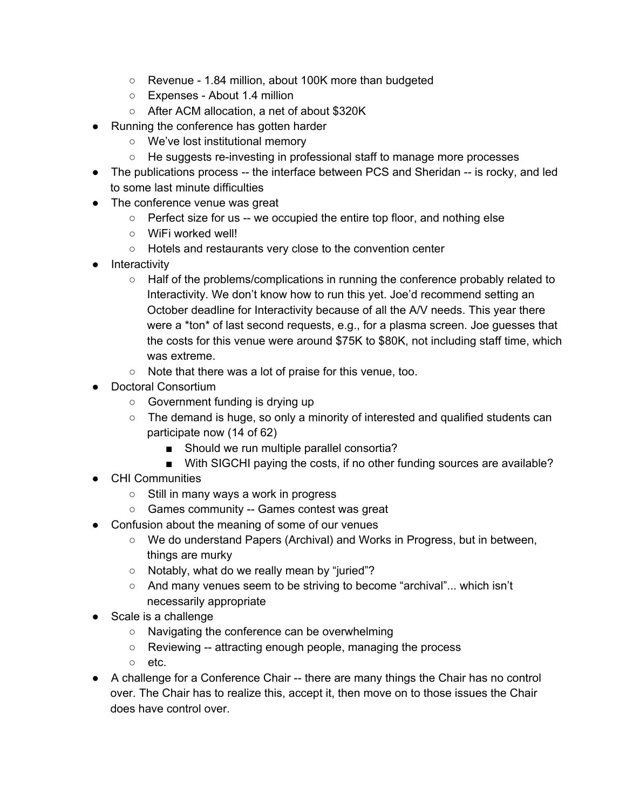- Revenue 1.84 million, about 100K more than budgeted
- Expenses About 1.4 million
- After ACM allocation, a net of about \$320K
- Running the conference has gotten harder
	- We've lost institutional memory
	- He suggests re-investing in professional staff to manage more processes
- The publications process -- the interface between PCS and Sheridan -- is rocky, and led to some last minute difficulties
- The conference venue was great
	- Perfect size for us -- we occupied the entire top floor, and nothing else
	- WiFi worked well!
	- Hotels and restaurants very close to the convention center
- Interactivity
	- Half of the problems/complications in running the conference probably related to Interactivity. We don't know how to run this yet. Joe'd recommend setting an October deadline for Interactivity because of all the A/V needs. This year there were a \*ton\* of last second requests, e.g., for a plasma screen. Joe guesses that the costs for this venue were around \$75K to \$80K, not including staff time, which was extreme.
	- Note that there was a lot of praise for this venue, too.
- **Doctoral Consortium** 
	- Government funding is drying up
	- $\circ$  The demand is huge, so only a minority of interested and qualified students can participate now (14 of 62)
		- Should we run multiple parallel consortia?
		- With SIGCHI paying the costs, if no other funding sources are available?
- CHI Communities
	- Still in many ways a work in progress
	- Games community -- Games contest was great
- Confusion about the meaning of some of our venues
	- We do understand Papers (Archival) and Works in Progress, but in between, things are murky
	- Notably, what do we really mean by "juried"?
	- And many venues seem to be striving to become "archival"... which isn't necessarily appropriate
- Scale is a challenge
	- Navigating the conference can be overwhelming
	- Reviewing -- attracting enough people, managing the process
	- etc.
- A challenge for a Conference Chair -- there are many things the Chair has no control over. The Chair has to realize this, accept it, then move on to those issues the Chair does have control over.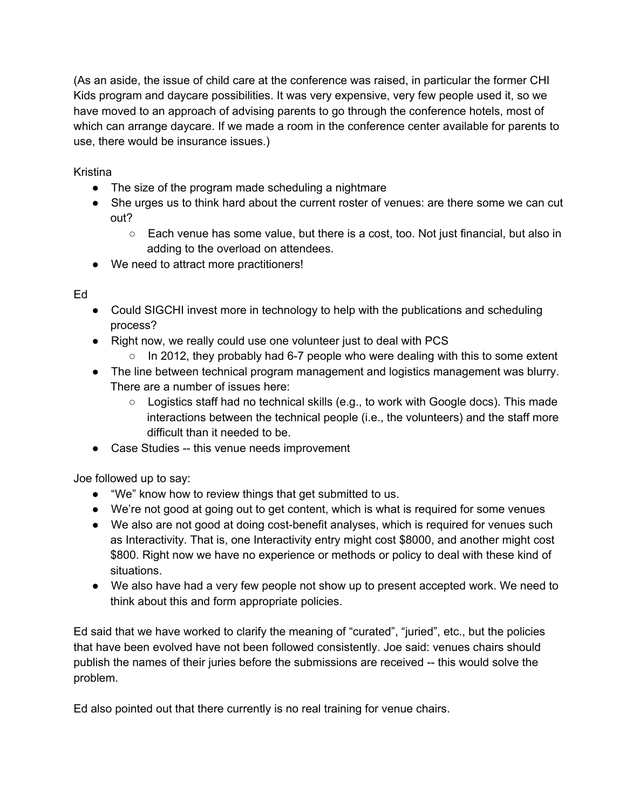(As an aside, the issue of child care at the conference was raised, in particular the former CHI Kids program and daycare possibilities. It was very expensive, very few people used it, so we have moved to an approach of advising parents to go through the conference hotels, most of which can arrange daycare. If we made a room in the conference center available for parents to use, there would be insurance issues.)

Kristina

- The size of the program made scheduling a nightmare
- She urges us to think hard about the current roster of venues: are there some we can cut out?
	- $\circ$  Each venue has some value, but there is a cost, too. Not just financial, but also in adding to the overload on attendees.
- We need to attract more practitioners!

Ed

- Could SIGCHI invest more in technology to help with the publications and scheduling process?
- Right now, we really could use one volunteer just to deal with PCS
	- $\circ$  In 2012, they probably had 6-7 people who were dealing with this to some extent
- The line between technical program management and logistics management was blurry. There are a number of issues here:
	- Logistics staff had no technical skills (e.g., to work with Google docs). This made interactions between the technical people (i.e., the volunteers) and the staff more difficult than it needed to be.
- Case Studies -- this venue needs improvement

Joe followed up to say:

- "We" know how to review things that get submitted to us.
- We're not good at going out to get content, which is what is required for some venues
- We also are not good at doing cost-benefit analyses, which is required for venues such as Interactivity. That is, one Interactivity entry might cost \$8000, and another might cost \$800. Right now we have no experience or methods or policy to deal with these kind of situations.
- We also have had a very few people not show up to present accepted work. We need to think about this and form appropriate policies.

Ed said that we have worked to clarify the meaning of "curated", "juried", etc., but the policies that have been evolved have not been followed consistently. Joe said: venues chairs should publish the names of their juries before the submissions are received -- this would solve the problem.

Ed also pointed out that there currently is no real training for venue chairs.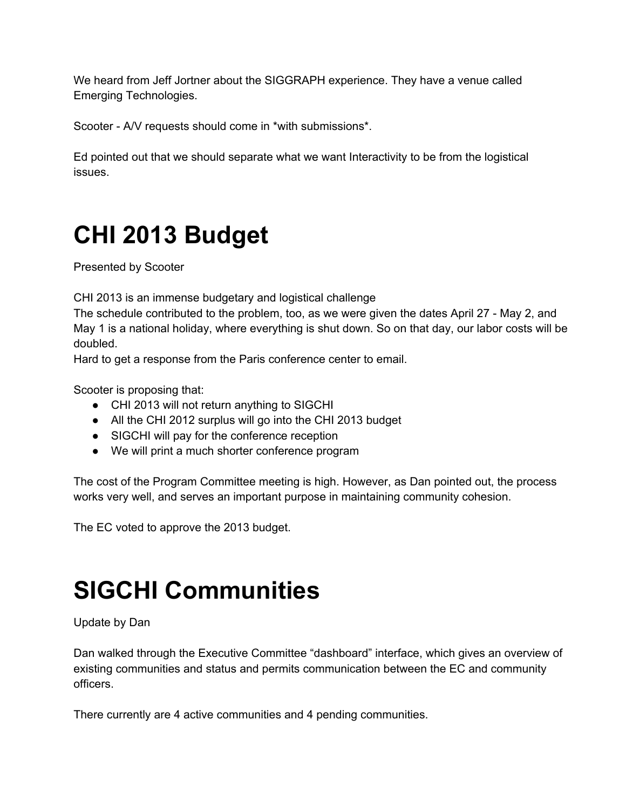We heard from Jeff Jortner about the SIGGRAPH experience. They have a venue called Emerging Technologies.

Scooter - A/V requests should come in \*with submissions\*.

Ed pointed out that we should separate what we want Interactivity to be from the logistical issues.

## **CHI 2013 Budget**

Presented by Scooter

CHI 2013 is an immense budgetary and logistical challenge

The schedule contributed to the problem, too, as we were given the dates April 27 - May 2, and May 1 is a national holiday, where everything is shut down. So on that day, our labor costs will be doubled.

Hard to get a response from the Paris conference center to email.

Scooter is proposing that:

- CHI 2013 will not return anything to SIGCHI
- All the CHI 2012 surplus will go into the CHI 2013 budget
- SIGCHI will pay for the conference reception
- We will print a much shorter conference program

The cost of the Program Committee meeting is high. However, as Dan pointed out, the process works very well, and serves an important purpose in maintaining community cohesion.

The EC voted to approve the 2013 budget.

## **SIGCHI Communities**

#### Update by Dan

Dan walked through the Executive Committee "dashboard" interface, which gives an overview of existing communities and status and permits communication between the EC and community officers.

There currently are 4 active communities and 4 pending communities.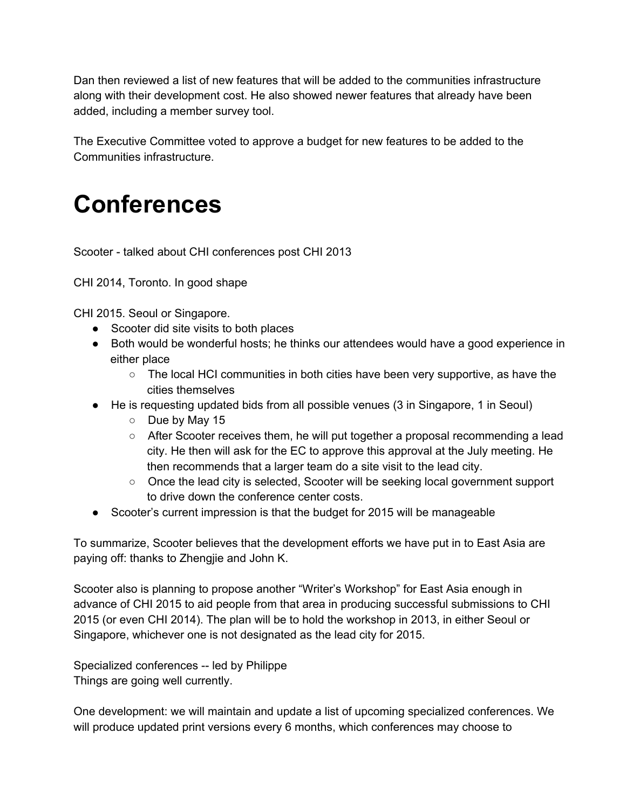Dan then reviewed a list of new features that will be added to the communities infrastructure along with their development cost. He also showed newer features that already have been added, including a member survey tool.

The Executive Committee voted to approve a budget for new features to be added to the Communities infrastructure.

### **Conferences**

Scooter - talked about CHI conferences post CHI 2013

CHI 2014, Toronto. In good shape

CHI 2015. Seoul or Singapore.

- Scooter did site visits to both places
- Both would be wonderful hosts; he thinks our attendees would have a good experience in either place
	- The local HCI communities in both cities have been very supportive, as have the cities themselves
- He is requesting updated bids from all possible venues (3 in Singapore, 1 in Seoul)
	- Due by May 15
	- $\circ$  After Scooter receives them, he will put together a proposal recommending a lead city. He then will ask for the EC to approve this approval at the July meeting. He then recommends that a larger team do a site visit to the lead city.
	- Once the lead city is selected, Scooter will be seeking local government support to drive down the conference center costs.
- Scooter's current impression is that the budget for 2015 will be manageable

To summarize, Scooter believes that the development efforts we have put in to East Asia are paying off: thanks to Zhengjie and John K.

Scooter also is planning to propose another "Writer's Workshop" for East Asia enough in advance of CHI 2015 to aid people from that area in producing successful submissions to CHI 2015 (or even CHI 2014). The plan will be to hold the workshop in 2013, in either Seoul or Singapore, whichever one is not designated as the lead city for 2015.

Specialized conferences -- led by Philippe Things are going well currently.

One development: we will maintain and update a list of upcoming specialized conferences. We will produce updated print versions every 6 months, which conferences may choose to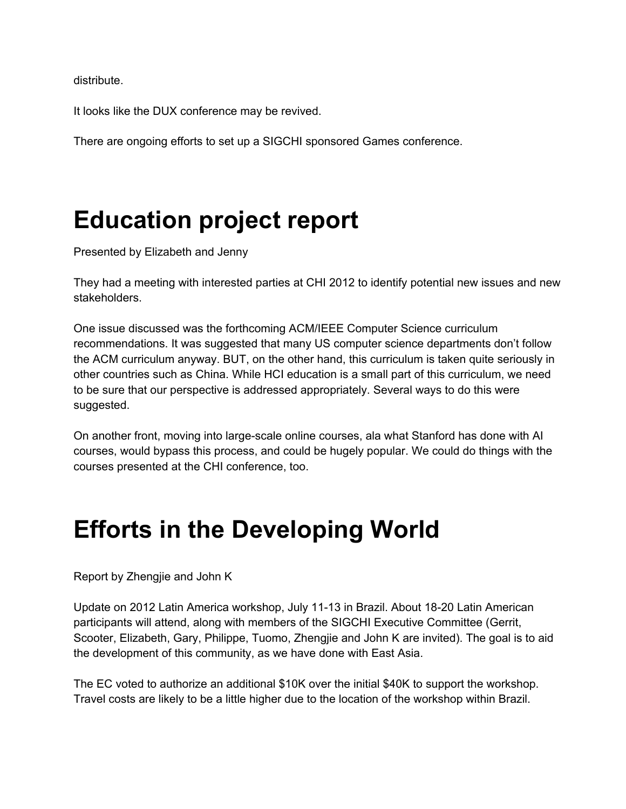distribute.

It looks like the DUX conference may be revived.

There are ongoing efforts to set up a SIGCHI sponsored Games conference.

### **Education project report**

Presented by Elizabeth and Jenny

They had a meeting with interested parties at CHI 2012 to identify potential new issues and new stakeholders.

One issue discussed was the forthcoming ACM/IEEE Computer Science curriculum recommendations. It was suggested that many US computer science departments don't follow the ACM curriculum anyway. BUT, on the other hand, this curriculum is taken quite seriously in other countries such as China. While HCI education is a small part of this curriculum, we need to be sure that our perspective is addressed appropriately. Several ways to do this were suggested.

On another front, moving into large-scale online courses, ala what Stanford has done with AI courses, would bypass this process, and could be hugely popular. We could do things with the courses presented at the CHI conference, too.

#### **Efforts in the Developing World**

Report by Zhengjie and John K

Update on 2012 Latin America workshop, July 11-13 in Brazil. About 18-20 Latin American participants will attend, along with members of the SIGCHI Executive Committee (Gerrit, Scooter, Elizabeth, Gary, Philippe, Tuomo, Zhengjie and John K are invited). The goal is to aid the development of this community, as we have done with East Asia.

The EC voted to authorize an additional \$10K over the initial \$40K to support the workshop. Travel costs are likely to be a little higher due to the location of the workshop within Brazil.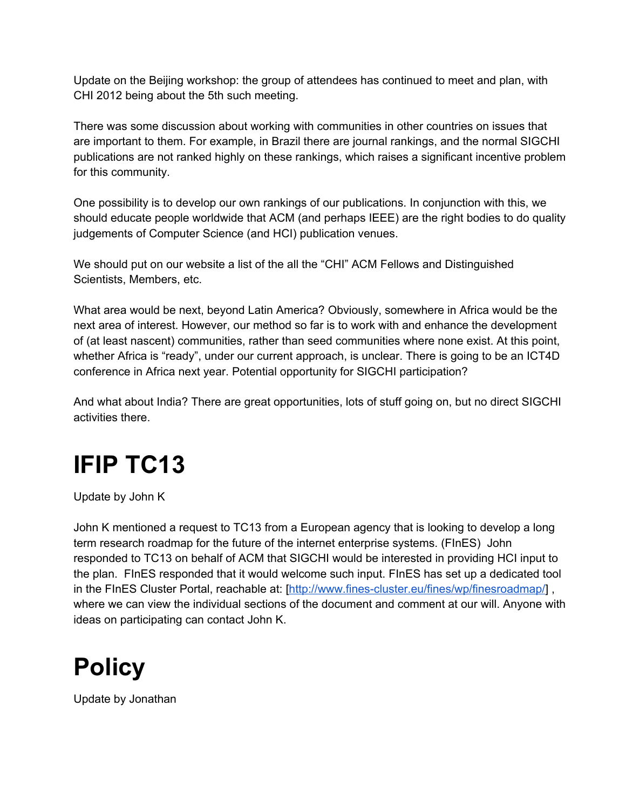Update on the Beijing workshop: the group of attendees has continued to meet and plan, with CHI 2012 being about the 5th such meeting.

There was some discussion about working with communities in other countries on issues that are important to them. For example, in Brazil there are journal rankings, and the normal SIGCHI publications are not ranked highly on these rankings, which raises a significant incentive problem for this community.

One possibility is to develop our own rankings of our publications. In conjunction with this, we should educate people worldwide that ACM (and perhaps IEEE) are the right bodies to do quality judgements of Computer Science (and HCI) publication venues.

We should put on our website a list of the all the "CHI" ACM Fellows and Distinguished Scientists, Members, etc.

What area would be next, beyond Latin America? Obviously, somewhere in Africa would be the next area of interest. However, our method so far is to work with and enhance the development of (at least nascent) communities, rather than seed communities where none exist. At this point, whether Africa is "ready", under our current approach, is unclear. There is going to be an ICT4D conference in Africa next year. Potential opportunity for SIGCHI participation?

And what about India? There are great opportunities, lots of stuff going on, but no direct SIGCHI activities there.

## **IFIP TC13**

Update by John K

John K mentioned a request to TC13 from a European agency that is looking to develop a long term research roadmap for the future of the internet enterprise systems. (FInES) John responded to TC13 on behalf of ACM that SIGCHI would be interested in providing HCI input to the plan. FInES responded that it would welcome such input. FInES has set up a dedicated tool in the FInES Cluster Portal, reachable at: [http://www.fines-cluster.eu/fines/wp/finesroadmap/], where we can view the individual sections of the document and comment at our will. Anyone with ideas on participating can contact John K.

#### **Policy**

Update by Jonathan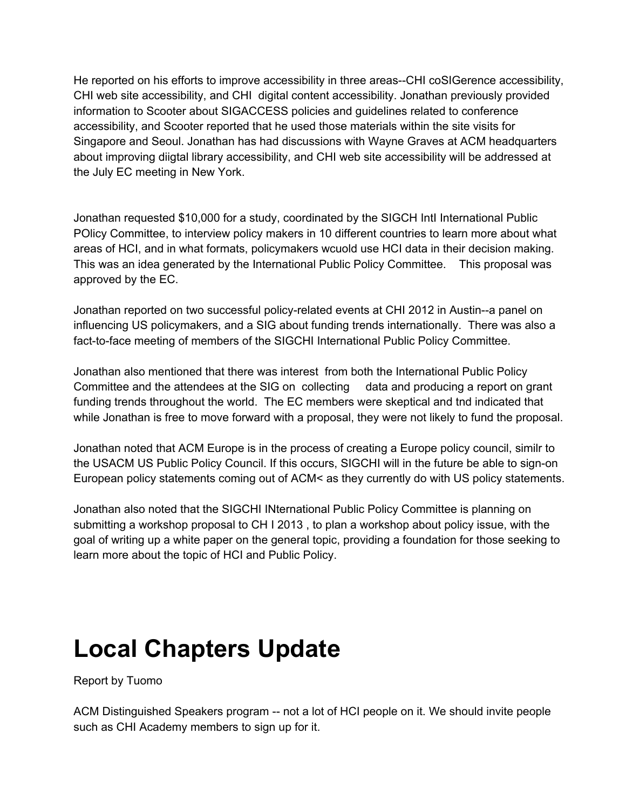He reported on his efforts to improve accessibility in three areas--CHI coSIGerence accessibility, CHI web site accessibility, and CHI digital content accessibility. Jonathan previously provided information to Scooter about SIGACCESS policies and guidelines related to conference accessibility, and Scooter reported that he used those materials within the site visits for Singapore and Seoul. Jonathan has had discussions with Wayne Graves at ACM headquarters about improving diigtal library accessibility, and CHI web site accessibility will be addressed at the July EC meeting in New York.

Jonathan requested \$10,000 for a study, coordinated by the SIGCH IntI International Public POlicy Committee, to interview policy makers in 10 different countries to learn more about what areas of HCI, and in what formats, policymakers wcuold use HCI data in their decision making. This was an idea generated by the International Public Policy Committee. This proposal was approved by the EC.

Jonathan reported on two successful policy-related events at CHI 2012 in Austin--a panel on influencing US policymakers, and a SIG about funding trends internationally. There was also a fact-to-face meeting of members of the SIGCHI International Public Policy Committee.

Jonathan also mentioned that there was interest from both the International Public Policy Committee and the attendees at the SIG on collecting data and producing a report on grant funding trends throughout the world. The EC members were skeptical and tnd indicated that while Jonathan is free to move forward with a proposal, they were not likely to fund the proposal.

Jonathan noted that ACM Europe is in the process of creating a Europe policy council, similr to the USACM US Public Policy Council. If this occurs, SIGCHI will in the future be able to sign-on European policy statements coming out of ACM< as they currently do with US policy statements.

Jonathan also noted that the SIGCHI INternational Public Policy Committee is planning on submitting a workshop proposal to CH I 2013 , to plan a workshop about policy issue, with the goal of writing up a white paper on the general topic, providing a foundation for those seeking to learn more about the topic of HCI and Public Policy.

#### **Local Chapters Update**

Report by Tuomo

ACM Distinguished Speakers program -- not a lot of HCI people on it. We should invite people such as CHI Academy members to sign up for it.